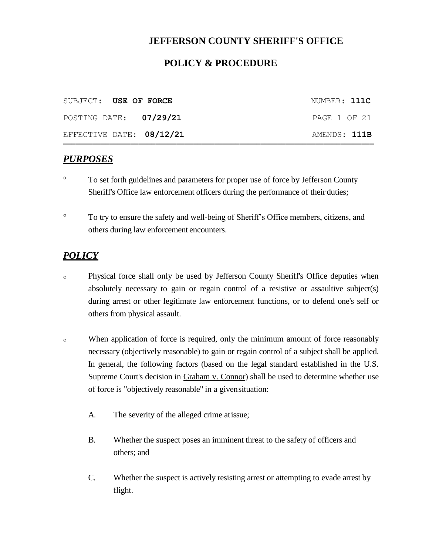# **JEFFERSON COUNTY SHERIFF'S OFFICE**

# **POLICY & PROCEDURE**

| SUBJECT: USE OF FORCE    | PAGE 1 OF 21 |
|--------------------------|--------------|
| POSTING DATE: 07/29/21   |              |
| EFFECTIVE DATE: 08/12/21 | AMENDS: 111B |

# *PURPOSES*

- <sup>o</sup> To set forth guidelines and parameters for proper use of force by Jefferson County Sheriff's Office law enforcement officers during the performance of their duties;
- To try to ensure the safety and well-being of Sheriff's Office members, citizens, and others during law enforcement encounters.

# *POLICY*

- <sup>o</sup> Physical force shall only be used by Jefferson County Sheriff's Office deputies when absolutely necessary to gain or regain control of a resistive or assaultive subject(s) during arrest or other legitimate law enforcement functions, or to defend one's self or others from physical assault.
- <sup>o</sup> When application of force is required, only the minimum amount of force reasonably necessary (objectively reasonable) to gain or regain control of a subject shall be applied. In general, the following factors (based on the legal standard established in the U.S. Supreme Court's decision in Graham v. Connor) shall be used to determine whether use of force is "objectively reasonable" in a givensituation:
	- A. The severity of the alleged crime atissue;
	- B. Whether the suspect poses an imminent threat to the safety of officers and others; and
	- C. Whether the suspect is actively resisting arrest or attempting to evade arrest by flight.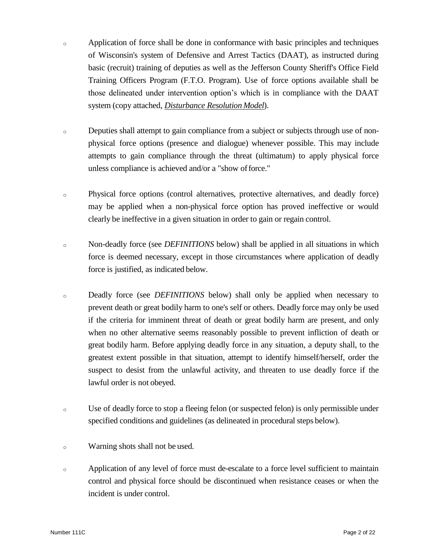- <sup>o</sup> Application of force shall be done in conformance with basic principles and techniques of Wisconsin's system of Defensive and Arrest Tactics (DAAT), as instructed during basic (recruit) training of deputies as well as the Jefferson County Sheriff's Office Field Training Officers Program (F.T.O. Program). Use of force options available shall be those delineated under intervention option's which is in compliance with the DAAT system (copy attached, *Disturbance Resolution Model*).
- <sup>o</sup> Deputies shall attempt to gain compliance from a subject or subjects through use of nonphysical force options (presence and dialogue) whenever possible. This may include attempts to gain compliance through the threat (ultimatum) to apply physical force unless compliance is achieved and/or a "show offorce."
- <sup>o</sup> Physical force options (control alternatives, protective alternatives, and deadly force) may be applied when a non-physical force option has proved ineffective or would clearly be ineffective in a given situation in order to gain or regain control.
- <sup>o</sup> Non-deadly force (see *DEFINITIONS* below) shall be applied in all situations in which force is deemed necessary, except in those circumstances where application of deadly force is justified, as indicated below.
- <sup>o</sup> Deadly force (see *DEFINITIONS* below) shall only be applied when necessary to prevent death or great bodily harm to one's self or others. Deadly force may only be used if the criteria for imminent threat of death or great bodily harm are present, and only when no other alternative seems reasonably possible to prevent infliction of death or great bodily harm. Before applying deadly force in any situation, a deputy shall, to the greatest extent possible in that situation, attempt to identify himself/herself, order the suspect to desist from the unlawful activity, and threaten to use deadly force if the lawful order is not obeyed.
- <sup>o</sup> Use of deadly force to stop a fleeing felon (or suspected felon) is only permissible under specified conditions and guidelines (as delineated in procedural steps below).
- <sup>o</sup> Warning shots shall not be used.
- <sup>o</sup> Application of any level of force must de-escalate to a force level sufficient to maintain control and physical force should be discontinued when resistance ceases or when the incident is under control.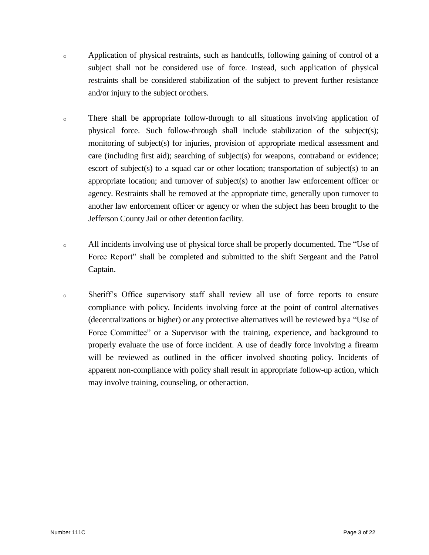- <sup>o</sup> Application of physical restraints, such as handcuffs, following gaining of control of a subject shall not be considered use of force. Instead, such application of physical restraints shall be considered stabilization of the subject to prevent further resistance and/or injury to the subject orothers.
- <sup>o</sup> There shall be appropriate follow-through to all situations involving application of physical force. Such follow-through shall include stabilization of the subject(s); monitoring of subject(s) for injuries, provision of appropriate medical assessment and care (including first aid); searching of subject(s) for weapons, contraband or evidence; escort of subject(s) to a squad car or other location; transportation of subject(s) to an appropriate location; and turnover of subject(s) to another law enforcement officer or agency. Restraints shall be removed at the appropriate time, generally upon turnover to another law enforcement officer or agency or when the subject has been brought to the Jefferson County Jail or other detention facility.
- <sup>o</sup> All incidents involving use of physical force shall be properly documented. The "Use of Force Report" shall be completed and submitted to the shift Sergeant and the Patrol Captain.
- <sup>o</sup> Sheriff's Office supervisory staff shall review all use of force reports to ensure compliance with policy. Incidents involving force at the point of control alternatives (decentralizations or higher) or any protective alternatives will be reviewed by a "Use of Force Committee" or a Supervisor with the training, experience, and background to properly evaluate the use of force incident. A use of deadly force involving a firearm will be reviewed as outlined in the officer involved shooting policy. Incidents of apparent non-compliance with policy shall result in appropriate follow-up action, which may involve training, counseling, or other action.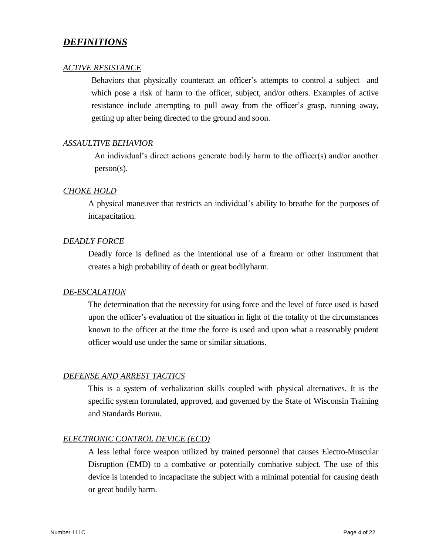# *DEFINITIONS*

### *ACTIVE RESISTANCE*

Behaviors that physically counteract an officer's attempts to control a subject and which pose a risk of harm to the officer, subject, and/or others. Examples of active resistance include attempting to pull away from the officer's grasp, running away, getting up after being directed to the ground and soon.

#### *ASSAULTIVE BEHAVIOR*

An individual's direct actions generate bodily harm to the officer(s) and/or another person(s).

#### *CHOKE HOLD*

A physical maneuver that restricts an individual's ability to breathe for the purposes of incapacitation.

#### *DEADLY FORCE*

Deadly force is defined as the intentional use of a firearm or other instrument that creates a high probability of death or great bodilyharm.

#### *DE-ESCALATION*

The determination that the necessity for using force and the level of force used is based upon the officer's evaluation of the situation in light of the totality of the circumstances known to the officer at the time the force is used and upon what a reasonably prudent officer would use under the same or similar situations.

#### *DEFENSE AND ARREST TACTICS*

This is a system of verbalization skills coupled with physical alternatives. It is the specific system formulated, approved, and governed by the State of Wisconsin Training and Standards Bureau.

#### *ELECTRONIC CONTROL DEVICE (ECD)*

A less lethal force weapon utilized by trained personnel that causes Electro-Muscular Disruption (EMD) to a combative or potentially combative subject. The use of this device is intended to incapacitate the subject with a minimal potential for causing death or great bodily harm.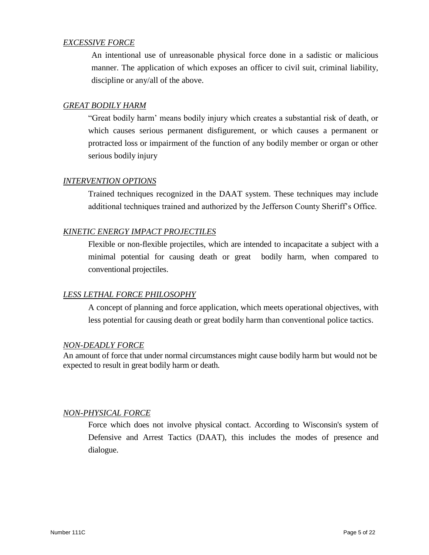#### *EXCESSIVE FORCE*

An intentional use of unreasonable physical force done in a sadistic or malicious manner. The application of which exposes an officer to civil suit, criminal liability, discipline or any/all of the above.

#### *GREAT BODILY HARM*

"Great bodily harm' means bodily injury which creates a substantial risk of death, or which causes serious permanent disfigurement, or which causes a permanent or protracted loss or impairment of the function of any bodily member or organ or other serious bodily injury

#### *INTERVENTION OPTIONS*

Trained techniques recognized in the DAAT system. These techniques may include additional techniques trained and authorized by the Jefferson County Sheriff's Office.

#### *KINETIC ENERGY IMPACT PROJECTILES*

Flexible or non-flexible projectiles, which are intended to incapacitate a subject with a minimal potential for causing death or great bodily harm, when compared to conventional projectiles.

# *LESS LETHAL FORCE PHILOSOPHY*

A concept of planning and force application, which meets operational objectives, with less potential for causing death or great bodily harm than conventional police tactics.

#### *NON-DEADLY FORCE*

An amount of force that under normal circumstances might cause bodily harm but would not be expected to result in great bodily harm or death.

#### *NON-PHYSICAL FORCE*

Force which does not involve physical contact. According to Wisconsin's system of Defensive and Arrest Tactics (DAAT), this includes the modes of presence and dialogue.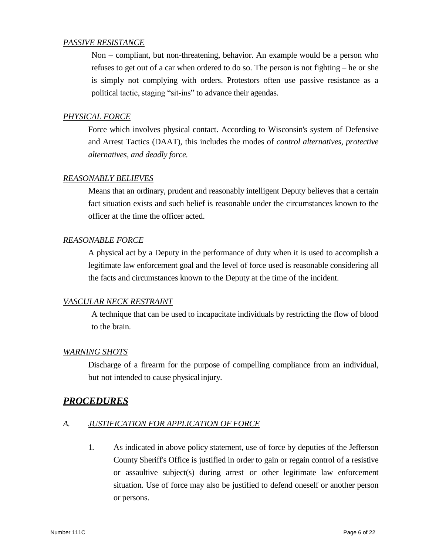#### *PASSIVE RESISTANCE*

Non – compliant, but non-threatening, behavior. An example would be a person who refuses to get out of a car when ordered to do so. The person is not fighting – he or she is simply not complying with orders. Protestors often use passive resistance as a political tactic, staging "sit-ins" to advance their agendas.

#### *PHYSICAL FORCE*

Force which involves physical contact. According to Wisconsin's system of Defensive and Arrest Tactics (DAAT), this includes the modes of *control alternatives, protective alternatives, and deadly force.*

#### *REASONABLY BELIEVES*

Means that an ordinary, prudent and reasonably intelligent Deputy believes that a certain fact situation exists and such belief is reasonable under the circumstances known to the officer at the time the officer acted.

#### *REASONABLE FORCE*

A physical act by a Deputy in the performance of duty when it is used to accomplish a legitimate law enforcement goal and the level of force used is reasonable considering all the facts and circumstances known to the Deputy at the time of the incident.

#### *VASCULAR NECK RESTRAINT*

A technique that can be used to incapacitate individuals by restricting the flow of blood to the brain.

#### *WARNING SHOTS*

Discharge of a firearm for the purpose of compelling compliance from an individual, but not intended to cause physical injury.

# *PROCEDURES*

# *A. JUSTIFICATION FOR APPLICATION OF FORCE*

1. As indicated in above policy statement, use of force by deputies of the Jefferson County Sheriff's Office is justified in order to gain or regain control of a resistive or assaultive subject(s) during arrest or other legitimate law enforcement situation. Use of force may also be justified to defend oneself or another person or persons.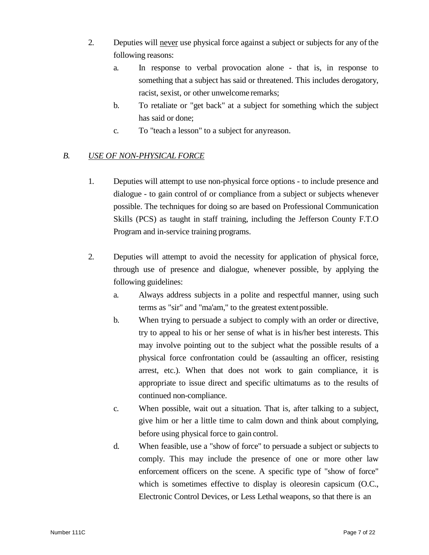- 2. Deputies will never use physical force against a subject or subjects for any of the following reasons:
	- a. In response to verbal provocation alone that is, in response to something that a subject has said or threatened. This includes derogatory, racist, sexist, or other unwelcome remarks;
	- b. To retaliate or "get back" at a subject for something which the subject has said or done;
	- c. To "teach a lesson" to a subject for anyreason.

# *B. USE OF NON-PHYSICAL FORCE*

- 1. Deputies will attempt to use non-physical force options to include presence and dialogue - to gain control of or compliance from a subject or subjects whenever possible. The techniques for doing so are based on Professional Communication Skills (PCS) as taught in staff training, including the Jefferson County F.T.O Program and in-service training programs.
- 2. Deputies will attempt to avoid the necessity for application of physical force, through use of presence and dialogue, whenever possible, by applying the following guidelines:
	- a. Always address subjects in a polite and respectful manner, using such terms as "sir" and "ma'am," to the greatest extentpossible.
	- b. When trying to persuade a subject to comply with an order or directive, try to appeal to his or her sense of what is in his/her best interests. This may involve pointing out to the subject what the possible results of a physical force confrontation could be (assaulting an officer, resisting arrest, etc.). When that does not work to gain compliance, it is appropriate to issue direct and specific ultimatums as to the results of continued non-compliance.
	- c. When possible, wait out a situation. That is, after talking to a subject, give him or her a little time to calm down and think about complying, before using physical force to gain control.
	- d. When feasible, use a "show of force" to persuade a subject or subjects to comply. This may include the presence of one or more other law enforcement officers on the scene. A specific type of "show of force" which is sometimes effective to display is oleoresin capsicum (O.C., Electronic Control Devices, or Less Lethal weapons, so that there is an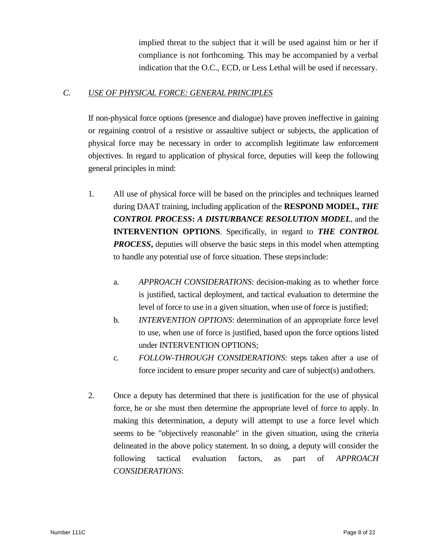implied threat to the subject that it will be used against him or her if compliance is not forthcoming. This may be accompanied by a verbal indication that the O.C., ECD, or Less Lethal will be used if necessary.

# *C. USE OF PHYSICAL FORCE: GENERAL PRINCIPLES*

If non-physical force options (presence and dialogue) have proven ineffective in gaining or regaining control of a resistive or assaultive subject or subjects, the application of physical force may be necessary in order to accomplish legitimate law enforcement objectives. In regard to application of physical force, deputies will keep the following general principles in mind:

- 1. All use of physical force will be based on the principles and techniques learned during DAAT training, including application of the **RESPOND MODEL,** *THE CONTROL PROCESS***:** *A DISTURBANCE RESOLUTION MODEL*, and the **INTERVENTION OPTIONS**. Specifically, in regard to *THE CONTROL PROCESS*, deputies will observe the basic steps in this model when attempting to handle any potential use of force situation. These stepsinclude:
	- a. *APPROACH CONSIDERATIONS*: decision-making as to whether force is justified, tactical deployment, and tactical evaluation to determine the level of force to use in a given situation, when use of force is justified;
	- b. *INTERVENTION OPTIONS*: determination of an appropriate force level to use, when use of force is justified, based upon the force options listed under INTERVENTION OPTIONS;
	- c. *FOLLOW-THROUGH CONSIDERATIONS*: steps taken after a use of force incident to ensure proper security and care of subject(s) andothers.
- 2. Once a deputy has determined that there is justification for the use of physical force, he or she must then determine the appropriate level of force to apply. In making this determination, a deputy will attempt to use a force level which seems to be "objectively reasonable" in the given situation, using the criteria delineated in the above policy statement. In so doing, a deputy will consider the following tactical evaluation factors, as part of *APPROACH CONSIDERATIONS*: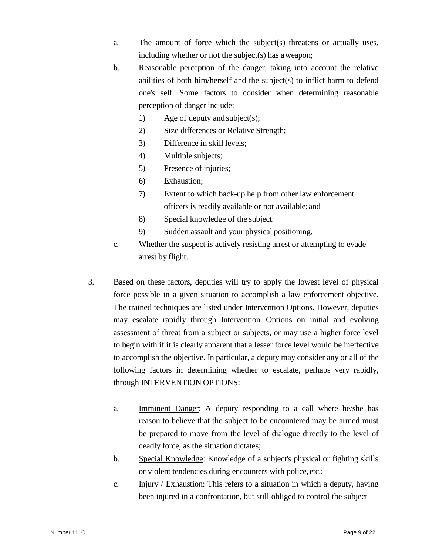- a. The amount of force which the subject(s) threatens or actually uses, including whether or not the subject(s) has aweapon;
- b. Reasonable perception of the danger, taking into account the relative abilities of both him/herself and the subject(s) to inflict harm to defend one's self. Some factors to consider when determining reasonable perception of danger include:
	- 1) Age of deputy and subject(s);
	- 2) Size differences or Relative Strength;
	- 3) Difference in skill levels;
	- 4) Multiple subjects;
	- 5) Presence of injuries;
	- 6) Exhaustion;
	- 7) Extent to which back-up help from other law enforcement officers is readily available or not available;and
	- 8) Special knowledge of the subject.
	- 9) Sudden assault and your physical positioning.
- c. Whether the suspect is actively resisting arrest or attempting to evade arrest by flight.
- 3. Based on these factors, deputies will try to apply the lowest level of physical force possible in a given situation to accomplish a law enforcement objective. The trained techniques are listed under Intervention Options. However, deputies may escalate rapidly through Intervention Options on initial and evolving assessment of threat from a subject or subjects, or may use a higher force level to begin with if it is clearly apparent that a lesser force level would be ineffective to accomplish the objective. In particular, a deputy may consider any or all of the following factors in determining whether to escalate, perhaps very rapidly, through INTERVENTION OPTIONS:
	- a. Imminent Danger: A deputy responding to a call where he/she has reason to believe that the subject to be encountered may be armed must be prepared to move from the level of dialogue directly to the level of deadly force, as the situation dictates;
	- b. Special Knowledge: Knowledge of a subject's physical or fighting skills or violent tendencies during encounters with police, etc.;
	- c. Injury / Exhaustion: This refers to a situation in which a deputy, having been injured in a confrontation, but still obliged to control the subject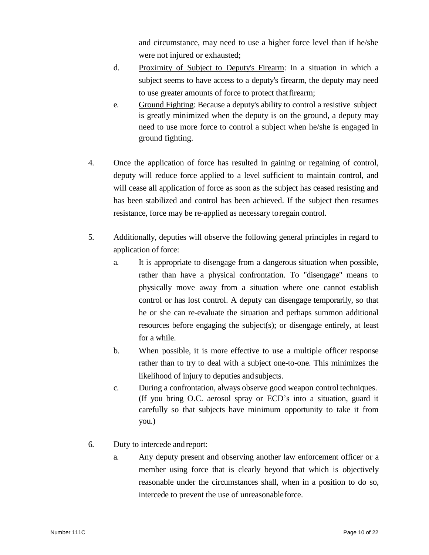and circumstance, may need to use a higher force level than if he/she were not injured or exhausted;

- d. Proximity of Subject to Deputy's Firearm: In a situation in which a subject seems to have access to a deputy's firearm, the deputy may need to use greater amounts of force to protect thatfirearm;
- e. Ground Fighting: Because a deputy's ability to control a resistive subject is greatly minimized when the deputy is on the ground, a deputy may need to use more force to control a subject when he/she is engaged in ground fighting.
- 4. Once the application of force has resulted in gaining or regaining of control, deputy will reduce force applied to a level sufficient to maintain control, and will cease all application of force as soon as the subject has ceased resisting and has been stabilized and control has been achieved. If the subject then resumes resistance, force may be re-applied as necessary toregain control.
- 5. Additionally, deputies will observe the following general principles in regard to application of force:
	- a. It is appropriate to disengage from a dangerous situation when possible, rather than have a physical confrontation. To "disengage" means to physically move away from a situation where one cannot establish control or has lost control. A deputy can disengage temporarily, so that he or she can re-evaluate the situation and perhaps summon additional resources before engaging the subject(s); or disengage entirely, at least for a while.
	- b. When possible, it is more effective to use a multiple officer response rather than to try to deal with a subject one-to-one. This minimizes the likelihood of injury to deputies and subjects.
	- c. During a confrontation, always observe good weapon control techniques. (If you bring O.C. aerosol spray or ECD's into a situation, guard it carefully so that subjects have minimum opportunity to take it from you.)
- 6. Duty to intercede and report:
	- a. Any deputy present and observing another law enforcement officer or a member using force that is clearly beyond that which is objectively reasonable under the circumstances shall, when in a position to do so, intercede to prevent the use of unreasonableforce.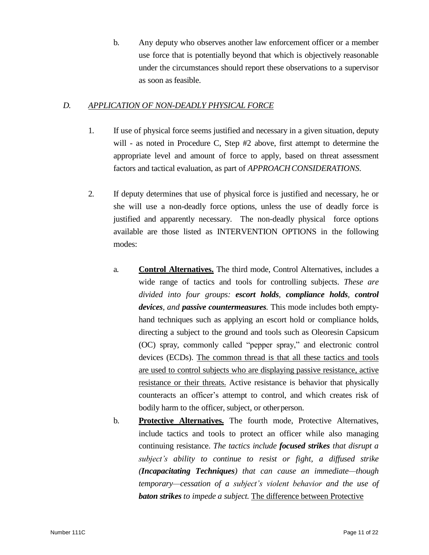b. Any deputy who observes another law enforcement officer or a member use force that is potentially beyond that which is objectively reasonable under the circumstances should report these observations to a supervisor as soon as feasible.

#### *D. APPLICATION OF NON-DEADLY PHYSICAL FORCE*

- 1. If use of physical force seems justified and necessary in a given situation, deputy will - as noted in Procedure C, Step #2 above, first attempt to determine the appropriate level and amount of force to apply, based on threat assessment factors and tactical evaluation, as part of *APPROACHCONSIDERATIONS*.
- 2. If deputy determines that use of physical force is justified and necessary, he or she will use a non-deadly force options, unless the use of deadly force is justified and apparently necessary. The non-deadly physical force options available are those listed as INTERVENTION OPTIONS in the following modes:
	- a. **Control Alternatives.** The third mode, Control Alternatives, includes a wide range of tactics and tools for controlling subjects. *These are divided into four groups: escort holds, compliance holds, control devices, and passive countermeasures.* This mode includes both emptyhand techniques such as applying an escort hold or compliance holds, directing a subject to the ground and tools such as Oleoresin Capsicum (OC) spray, commonly called "pepper spray," and electronic control devices (ECDs). The common thread is that all these tactics and tools are used to control subjects who are displaying passive resistance, active resistance or their threats. Active resistance is behavior that physically counteracts an officer's attempt to control, and which creates risk of bodily harm to the officer, subject, or otherperson.
	- b. **Protective Alternatives.** The fourth mode, Protective Alternatives, include tactics and tools to protect an officer while also managing continuing resistance. *The tactics include focused strikes that disrupt a subject's ability to continue to resist or fight, a diffused strike (Incapacitating Techniques) that can cause an immediate—though temporary—cessation of a subject's violent behavior and the use of baton strikes to impede a subject.* The difference between Protective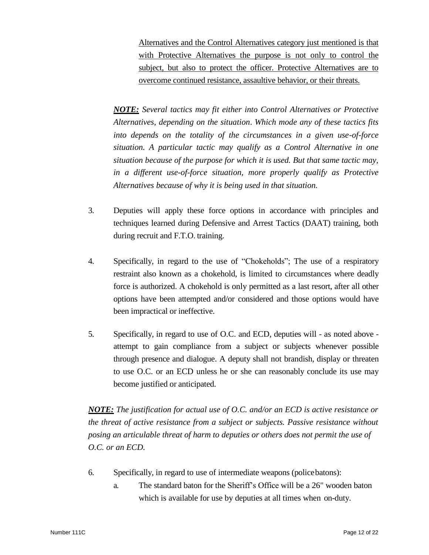Alternatives and the Control Alternatives category just mentioned is that with Protective Alternatives the purpose is not only to control the subject, but also to protect the officer. Protective Alternatives are to overcome continued resistance, assaultive behavior, or their threats.

*NOTE: Several tactics may fit either into Control Alternatives or Protective Alternatives, depending on the situation*. *Which mode any of these tactics fits into depends on the totality of the circumstances in a given use-of-force situation. A particular tactic may qualify as a Control Alternative in one situation because of the purpose for which it is used. But that same tactic may, in a different use-of-force situation, more properly qualify as Protective Alternatives because of why it is being used in that situation.*

- 3. Deputies will apply these force options in accordance with principles and techniques learned during Defensive and Arrest Tactics (DAAT) training, both during recruit and F.T.O. training.
- 4. Specifically, in regard to the use of "Chokeholds"; The use of a respiratory restraint also known as a chokehold, is limited to circumstances where deadly force is authorized. A chokehold is only permitted as a last resort, after all other options have been attempted and/or considered and those options would have been impractical or ineffective.
- 5. Specifically, in regard to use of O.C. and ECD, deputies will as noted above attempt to gain compliance from a subject or subjects whenever possible through presence and dialogue. A deputy shall not brandish, display or threaten to use O.C. or an ECD unless he or she can reasonably conclude its use may become justified or anticipated.

*NOTE: The justification for actual use of O.C. and/or an ECD is active resistance or the threat of active resistance from a subject or subjects. Passive resistance without posing an articulable threat of harm to deputies or others does not permit the use of O.C. or an ECD.*

- 6. Specifically, in regard to use of intermediate weapons (policebatons):
	- a. The standard baton for the Sheriff's Office will be a 26" wooden baton which is available for use by deputies at all times when on-duty.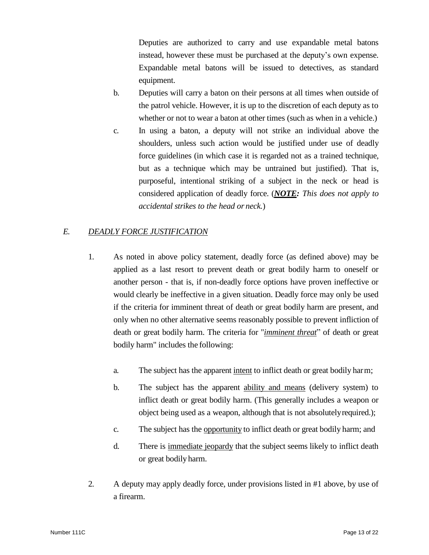Deputies are authorized to carry and use expandable metal batons instead, however these must be purchased at the deputy's own expense. Expandable metal batons will be issued to detectives, as standard equipment.

- b. Deputies will carry a baton on their persons at all times when outside of the patrol vehicle. However, it is up to the discretion of each deputy as to whether or not to wear a baton at other times (such as when in a vehicle.)
- c. In using a baton, a deputy will not strike an individual above the shoulders, unless such action would be justified under use of deadly force guidelines (in which case it is regarded not as a trained technique, but as a technique which may be untrained but justified). That is, purposeful, intentional striking of a subject in the neck or head is considered application of deadly force. (*NOTE: This does not apply to accidental strikes to the head or neck.*)

# *E. DEADLY FORCE JUSTIFICATION*

- 1. As noted in above policy statement, deadly force (as defined above) may be applied as a last resort to prevent death or great bodily harm to oneself or another person - that is, if non-deadly force options have proven ineffective or would clearly be ineffective in a given situation. Deadly force may only be used if the criteria for imminent threat of death or great bodily harm are present, and only when no other alternative seems reasonably possible to prevent infliction of death or great bodily harm. The criteria for "*imminent threat*" of death or great bodily harm" includes the following:
	- a. The subject has the apparent intent to inflict death or great bodily harm;
	- b. The subject has the apparent ability and means (delivery system) to inflict death or great bodily harm. (This generally includes a weapon or object being used as a weapon, although that is not absolutelyrequired.);
	- c. The subject has the opportunity to inflict death or great bodily harm; and
	- d. There is immediate jeopardy that the subject seems likely to inflict death or great bodily harm.
- 2. A deputy may apply deadly force, under provisions listed in #1 above, by use of a firearm.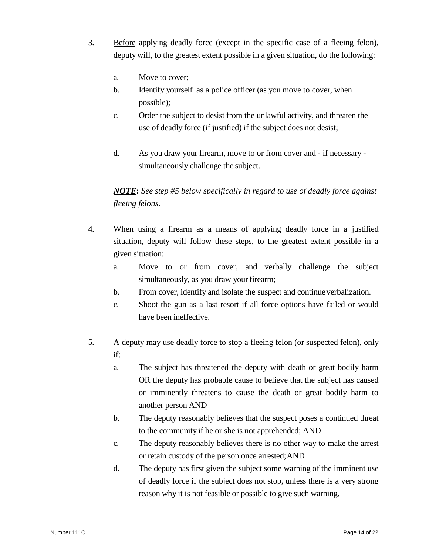- 3. Before applying deadly force (except in the specific case of a fleeing felon), deputy will, to the greatest extent possible in a given situation, do the following:
	- a. Move to cover;
	- b. Identify yourself as a police officer (as you move to cover, when possible);
	- c. Order the subject to desist from the unlawful activity, and threaten the use of deadly force (if justified) if the subject does not desist;
	- d. As you draw your firearm, move to or from cover and if necessary simultaneously challenge the subject.

*NOTE***:** *See step #5 below specifically in regard to use of deadly force against fleeing felons.*

- 4. When using a firearm as a means of applying deadly force in a justified situation, deputy will follow these steps, to the greatest extent possible in a given situation:
	- a. Move to or from cover, and verbally challenge the subject simultaneously, as you draw your firearm;
	- b. From cover, identify and isolate the suspect and continue verbalization.
	- c. Shoot the gun as a last resort if all force options have failed or would have been ineffective.
- 5. A deputy may use deadly force to stop a fleeing felon (or suspected felon), only if:
	- a. The subject has threatened the deputy with death or great bodily harm OR the deputy has probable cause to believe that the subject has caused or imminently threatens to cause the death or great bodily harm to another person AND
	- b. The deputy reasonably believes that the suspect poses a continued threat to the community if he or she is not apprehended; AND
	- c. The deputy reasonably believes there is no other way to make the arrest or retain custody of the person once arrested;AND
	- d. The deputy has first given the subject some warning of the imminent use of deadly force if the subject does not stop, unless there is a very strong reason why it is not feasible or possible to give such warning.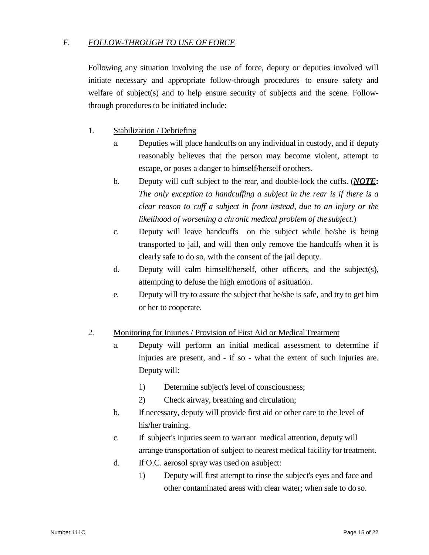# *F. FOLLOW-THROUGH TO USE OF FORCE*

Following any situation involving the use of force, deputy or deputies involved will initiate necessary and appropriate follow-through procedures to ensure safety and welfare of subject(s) and to help ensure security of subjects and the scene. Followthrough procedures to be initiated include:

### 1. Stabilization / Debriefing

- a. Deputies will place handcuffs on any individual in custody, and if deputy reasonably believes that the person may become violent, attempt to escape, or poses a danger to himself/herself orothers.
- b. Deputy will cuff subject to the rear, and double-lock the cuffs. (*NOTE***:**  *The only exception to handcuffing a subject in the rear is if there is a clear reason to cuff a subject in front instead, due to an injury or the likelihood of worsening a chronic medical problem of the subject.*)
- c. Deputy will leave handcuffs on the subject while he/she is being transported to jail, and will then only remove the handcuffs when it is clearly safe to do so, with the consent of the jail deputy.
- d. Deputy will calm himself/herself, other officers, and the subject(s), attempting to defuse the high emotions of asituation.
- e. Deputy will try to assure the subject that he/she is safe, and try to get him or her to cooperate.

#### 2. Monitoring for Injuries / Provision of First Aid or MedicalTreatment

- a. Deputy will perform an initial medical assessment to determine if injuries are present, and - if so - what the extent of such injuries are. Deputy will:
	- 1) Determine subject's level of consciousness;
	- 2) Check airway, breathing and circulation;
- b. If necessary, deputy will provide first aid or other care to the level of his/her training.
- c. If subject's injuries seem to warrant medical attention, deputy will arrange transportation of subject to nearest medical facility for treatment.
- d. If O.C. aerosol spray was used on asubject:
	- 1) Deputy will first attempt to rinse the subject's eyes and face and other contaminated areas with clear water; when safe to doso.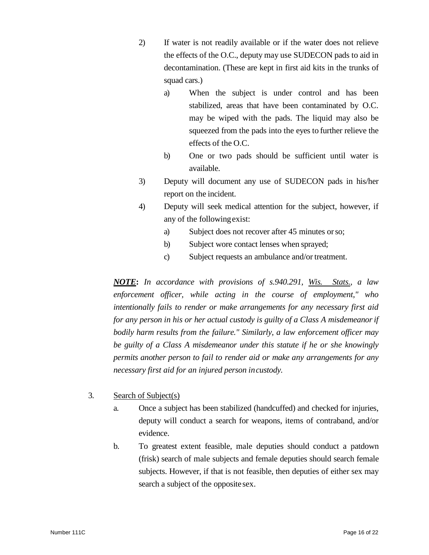- 2) If water is not readily available or if the water does not relieve the effects of the O.C., deputy may use SUDECON pads to aid in decontamination. (These are kept in first aid kits in the trunks of squad cars.)
	- a) When the subject is under control and has been stabilized, areas that have been contaminated by O.C. may be wiped with the pads. The liquid may also be squeezed from the pads into the eyes to further relieve the effects of the O.C.
	- b) One or two pads should be sufficient until water is available.
- 3) Deputy will document any use of SUDECON pads in his/her report on the incident.
- 4) Deputy will seek medical attention for the subject, however, if any of the followingexist:
	- a) Subject does not recover after 45 minutes orso;
	- b) Subject wore contact lenses when sprayed;
	- c) Subject requests an ambulance and/or treatment.

*NOTE***:** *In accordance with provisions of s.940.291, Wis. Stats., a law enforcement officer, while acting in the course of employment," who intentionally fails to render or make arrangements for any necessary first aid for any person in his or her actual custody is guilty of a Class A misdemeanorif bodily harm results from the failure." Similarly, a law enforcement officer may be guilty of a Class A misdemeanor under this statute if he or she knowingly permits another person to fail to render aid or make any arrangements for any necessary first aid for an injured person incustody.*

- 3. Search of Subject(s)
	- a. Once a subject has been stabilized (handcuffed) and checked for injuries, deputy will conduct a search for weapons, items of contraband, and/or evidence.
	- b. To greatest extent feasible, male deputies should conduct a patdown (frisk) search of male subjects and female deputies should search female subjects. However, if that is not feasible, then deputies of either sex may search a subject of the opposite sex.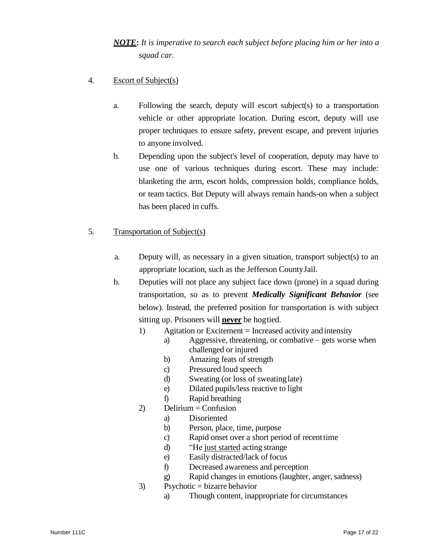# *NOTE***:** *It is imperative to search each subject before placing him or her into a squad car.*

- 4. Escort of Subject(s)
	- a. Following the search, deputy will escort subject(s) to a transportation vehicle or other appropriate location. During escort, deputy will use proper techniques to ensure safety, prevent escape, and prevent injuries to anyone involved.
	- b. Depending upon the subject's level of cooperation, deputy may have to use one of various techniques during escort. These may include: blanketing the arm, escort holds, compression holds, compliance holds, or team tactics. But Deputy will always remain hands-on when a subject has been placed in cuffs.

#### 5. Transportation of Subject(s)

- a. Deputy will, as necessary in a given situation, transport subject(s) to an appropriate location, such as the Jefferson CountyJail.
- b. Deputies will not place any subject face down (prone) in a squad during transportation, so as to prevent *Medically Significant Behavior* (see below). Instead, the preferred position for transportation is with subject sitting up. Prisoners will **never** be hogtied.
	- 1) Agitation or Excitement = Increased activity and intensity
		- a) Aggressive, threatening, or combative gets worse when challenged or injured
		- b) Amazing feats of strength
		- c) Pressured loud speech
		- d) Sweating (or loss of sweatinglate)
		- e) Dilated pupils/less reactive to light
		- f) Rapid breathing
	- 2) Delirium = Confusion
		- a) Disoriented
		- b) Person, place, time, purpose
		- c) Rapid onset over a short period of recenttime
		- d) "He just started acting strange
		- e) Easily distracted/lack of focus
		- f) Decreased awareness and perception
		- g) Rapid changes in emotions (laughter, anger,sadness)
	- 3) Psychotic = bizarre behavior
		- a) Though content, inappropriate for circumstances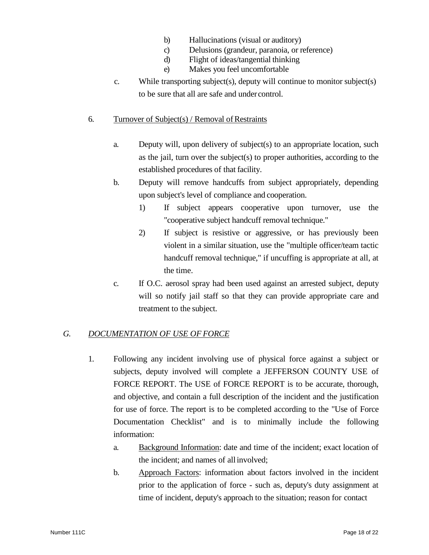- b) Hallucinations (visual or auditory)
- c) Delusions (grandeur, paranoia, or reference)
- d) Flight of ideas/tangential thinking
- e) Makes you feel uncomfortable
- c. While transporting subject(s), deputy will continue to monitor subject(s) to be sure that all are safe and undercontrol.

#### 6. Turnover of Subject(s) / Removal of Restraints

- a. Deputy will, upon delivery of subject(s) to an appropriate location, such as the jail, turn over the subject(s) to proper authorities, according to the established procedures of that facility.
- b. Deputy will remove handcuffs from subject appropriately, depending upon subject's level of compliance and cooperation.
	- 1) If subject appears cooperative upon turnover, use the "cooperative subject handcuff removal technique."
	- 2) If subject is resistive or aggressive, or has previously been violent in a similar situation, use the "multiple officer/team tactic handcuff removal technique," if uncuffing is appropriate at all, at the time.
- c. If O.C. aerosol spray had been used against an arrested subject, deputy will so notify jail staff so that they can provide appropriate care and treatment to the subject.

# *G. DOCUMENTATION OF USE OF FORCE*

- 1. Following any incident involving use of physical force against a subject or subjects, deputy involved will complete a JEFFERSON COUNTY USE of FORCE REPORT. The USE of FORCE REPORT is to be accurate, thorough, and objective, and contain a full description of the incident and the justification for use of force. The report is to be completed according to the "Use of Force Documentation Checklist" and is to minimally include the following information:
	- a. Background Information: date and time of the incident; exact location of the incident; and names of all involved;
	- b. Approach Factors: information about factors involved in the incident prior to the application of force - such as, deputy's duty assignment at time of incident, deputy's approach to the situation; reason for contact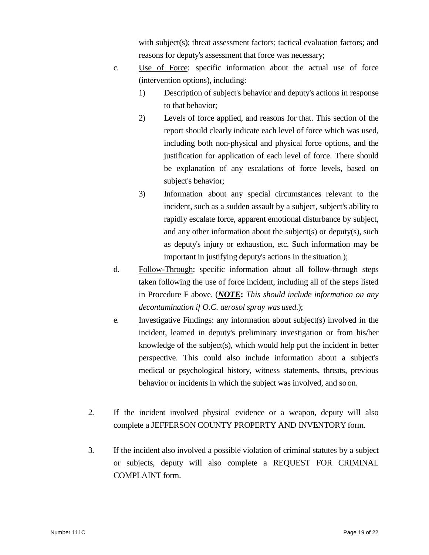with subject(s); threat assessment factors; tactical evaluation factors; and reasons for deputy's assessment that force was necessary;

- c. Use of Force: specific information about the actual use of force (intervention options), including:
	- 1) Description of subject's behavior and deputy's actions in response to that behavior;
	- 2) Levels of force applied, and reasons for that. This section of the report should clearly indicate each level of force which was used, including both non-physical and physical force options, and the justification for application of each level of force. There should be explanation of any escalations of force levels, based on subject's behavior;
	- 3) Information about any special circumstances relevant to the incident, such as a sudden assault by a subject, subject's ability to rapidly escalate force, apparent emotional disturbance by subject, and any other information about the subject(s) or deputy(s), such as deputy's injury or exhaustion, etc. Such information may be important in justifying deputy's actions in the situation.);
- d. Follow-Through: specific information about all follow-through steps taken following the use of force incident, including all of the steps listed in Procedure F above. (*NOTE***:** *This should include information on any decontamination if O.C. aerosol spray was used*.);
- e. Investigative Findings: any information about subject(s) involved in the incident, learned in deputy's preliminary investigation or from his/her knowledge of the subject(s), which would help put the incident in better perspective. This could also include information about a subject's medical or psychological history, witness statements, threats, previous behavior or incidents in which the subject was involved, and soon.
- 2. If the incident involved physical evidence or a weapon, deputy will also complete a JEFFERSON COUNTY PROPERTY AND INVENTORY form.
- 3. If the incident also involved a possible violation of criminal statutes by a subject or subjects, deputy will also complete a REQUEST FOR CRIMINAL COMPLAINT form.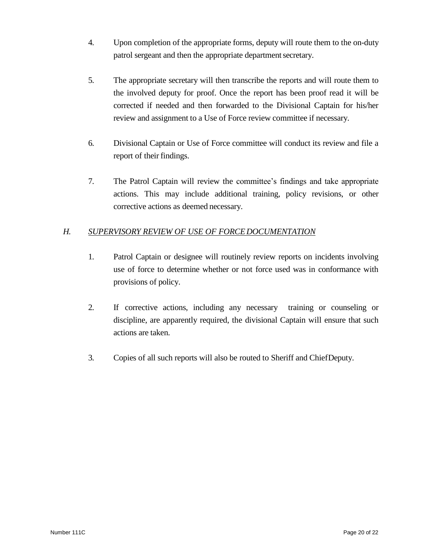- 4. Upon completion of the appropriate forms, deputy will route them to the on-duty patrol sergeant and then the appropriate department secretary.
- 5. The appropriate secretary will then transcribe the reports and will route them to the involved deputy for proof. Once the report has been proof read it will be corrected if needed and then forwarded to the Divisional Captain for his/her review and assignment to a Use of Force review committee if necessary.
- 6. Divisional Captain or Use of Force committee will conduct its review and file a report of their findings.
- 7. The Patrol Captain will review the committee's findings and take appropriate actions. This may include additional training, policy revisions, or other corrective actions as deemed necessary.

# *H. SUPERVISORY REVIEW OF USE OF FORCEDOCUMENTATION*

- 1. Patrol Captain or designee will routinely review reports on incidents involving use of force to determine whether or not force used was in conformance with provisions of policy.
- 2. If corrective actions, including any necessary training or counseling or discipline, are apparently required, the divisional Captain will ensure that such actions are taken.
- 3. Copies of all such reports will also be routed to Sheriff and ChiefDeputy.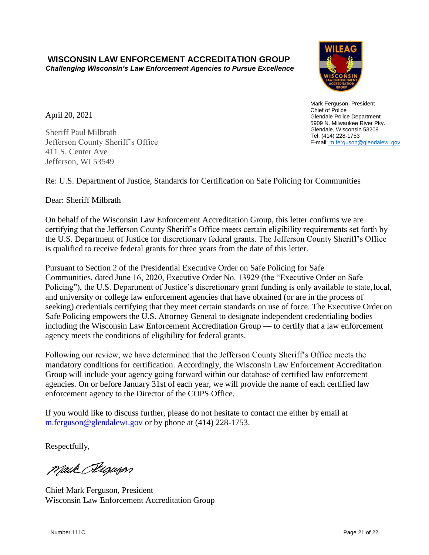**WISCONSIN LAW ENFORCEMENT ACCREDITATION GROUP** *Challenging Wisconsin's Law Enforcement Agencies to Pursue Excellence*



Mark Ferguson, President Chief of Police Glendale Police Department 5909 N. Milwaukee River Pky. Glendale, Wisconsin 53209 Tel: (414) 228-1753 E-mail: [m.ferguson@glendalewi.gov](mailto:m.ferguson@glendalewi.gov)

April 20, 2021

Sheriff Paul Milbrath Jefferson County Sheriff's Office 411 S. Center Ave Jefferson, WI 53549

Re: U.S. Department of Justice, Standards for Certification on Safe Policing for Communities

Dear: Sheriff Milbrath

On behalf of the Wisconsin Law Enforcement Accreditation Group, this letter confirms we are certifying that the Jefferson County Sheriff's Office meets certain eligibility requirements set forth by the U.S. Department of Justice for discretionary federal grants. The Jefferson County Sheriff's Office is qualified to receive federal grants for three years from the date of this letter.

Pursuant to Section 2 of the Presidential Executive Order on Safe Policing for Safe Communities, dated June 16, 2020, Executive Order No. 13929 (the "Executive Order on Safe Policing"), the U.S. Department of Justice's discretionary grant funding is only available to state, local, and university or college law enforcement agencies that have obtained (or are in the process of seeking) credentials certifying that they meet certain standards on use of force. The Executive Order on Safe Policing empowers the U.S. Attorney General to designate independent credentialing bodies including the Wisconsin Law Enforcement Accreditation Group — to certify that a law enforcement agency meets the conditions of eligibility for federal grants.

Following our review, we have determined that the Jefferson County Sheriff's Office meets the mandatory conditions for certification. Accordingly, the Wisconsin Law Enforcement Accreditation Group will include your agency going forward within our database of certified law enforcement agencies. On or before January 31st of each year, we will provide the name of each certified law enforcement agency to the Director of the COPS Office.

If you would like to discuss further, please do not hesitate to contact me either by email at [m.ferguson@glendalewi.gov o](mailto:m.ferguson@glendalewi.gov)r by phone at (414) 228-1753.

Respectfully,

Mack Pergusan

Chief Mark Ferguson, President Wisconsin Law Enforcement Accreditation Group